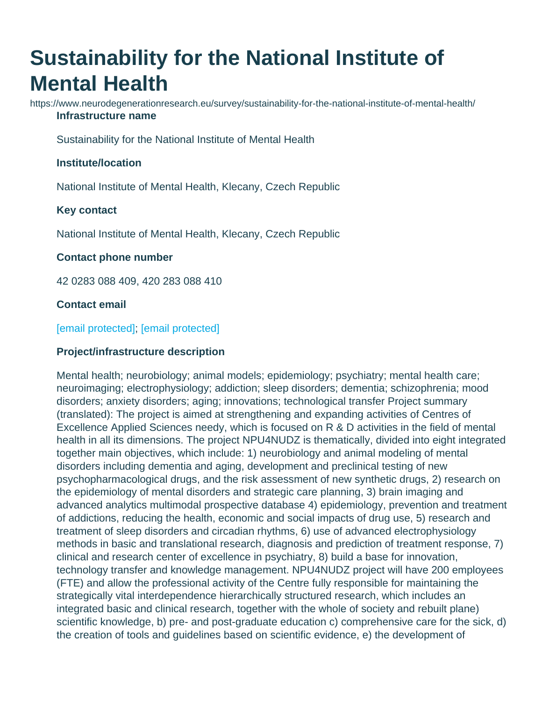## Sustainability for the National Institute of Mental Health

https://www.neurodegenerationresearch.eu/survey/sustainability-for-the-national-institute-of-mental-health/ Infrastructure name

Sustainability for the National Institute of Mental Health

Institute/location

National Institute of Mental Health, Klecany, Czech Republic

Key contact

National Institute of Mental Health, Klecany, Czech Republic

Contact phone number

42 0283 088 409, 420 283 088 410

Contact email

[\[email protected\];](/cdn-cgi/l/email-protection#3f1f5c464d56531157504c5c57537f514a5b45115c45) [\[email protected\]](/cdn-cgi/l/email-protection#735300161801160712011a1207331d0617095d1009)

Project/infrastructure description

Mental health; neurobiology; animal models; epidemiology; psychiatry; mental health care; neuroimaging; electrophysiology; addiction; sleep disorders; dementia; schizophrenia; mood disorders; anxiety disorders; aging; innovations; technological transfer Project summary (translated): The project is aimed at strengthening and expanding activities of Centres of Excellence Applied Sciences needy, which is focused on R & D activities in the field of mental health in all its dimensions. The project NPU4NUDZ is thematically, divided into eight integrated together main objectives, which include: 1) neurobiology and animal modeling of mental disorders including dementia and aging, development and preclinical testing of new psychopharmacological drugs, and the risk assessment of new synthetic drugs, 2) research on the epidemiology of mental disorders and strategic care planning, 3) brain imaging and advanced analytics multimodal prospective database 4) epidemiology, prevention and treatment of addictions, reducing the health, economic and social impacts of drug use, 5) research and treatment of sleep disorders and circadian rhythms, 6) use of advanced electrophysiology methods in basic and translational research, diagnosis and prediction of treatment response, 7) clinical and research center of excellence in psychiatry, 8) build a base for innovation, technology transfer and knowledge management. NPU4NUDZ project will have 200 employees (FTE) and allow the professional activity of the Centre fully responsible for maintaining the strategically vital interdependence hierarchically structured research, which includes an integrated basic and clinical research, together with the whole of society and rebuilt plane) scientific knowledge, b) pre- and post-graduate education c) comprehensive care for the sick, d) the creation of tools and guidelines based on scientific evidence, e) the development of